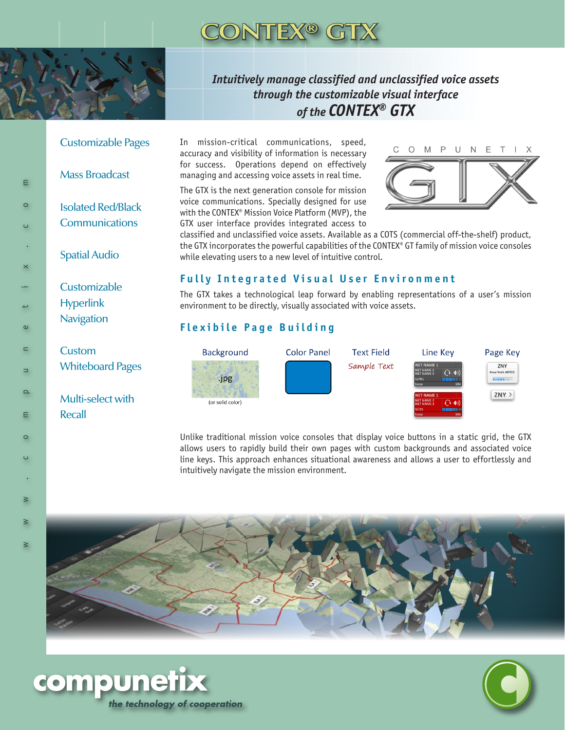

## *Intuitively manage classified and unclassified voice assets through the customizable visual interface of the CONTEX® GTX*

#### Customizable Pages

Mass Broadcast

 $\epsilon$ 

 $\circ$ 

 $\omega$ 

 $\blacksquare$ 

 $\Box$ 

 $\Omega$ 

Ε

 $\circ$ 

 $\cup$ 

 $\geq$ 

Isolated Red/Black **Communications** 

Spatial Audio

**Customizable** Hyperlink **Navigation** 

Custom Whiteboard Pages

> Multi-select with Recall

In mission-critical communications, speed, accuracy and visibility of information is necessary for success. Operations depend on effectively managing and accessing voice assets in real time.

The GTX is the next generation console for mission voice communications. Specially designed for use with the CONTEX® Mission Voice Platform (MVP), the GTX user interface provides integrated access to



classified and unclassified voice assets. Available as a COTS (commercial off-the-shelf) product, the GTX incorporates the powerful capabilities of the CONTEX® GT family of mission voice consoles while elevating users to a new level of intuitive control.

### **Fully Integrated Visual User Environment**

The GTX takes a technological leap forward by enabling representations of a user's mission environment to be directly, visually associated with voice assets.

### **Flexibile Page Building**



Unlike traditional mission voice consoles that display voice buttons in a static grid, the GTX allows users to rapidly build their own pages with custom backgrounds and associated voice line keys. This approach enhances situational awareness and allows a user to effortlessly and intuitively navigate the mission environment.